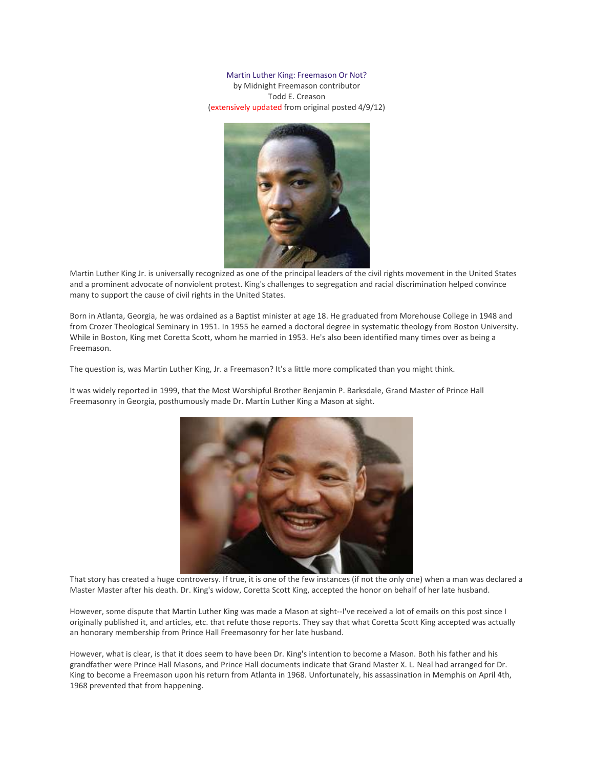Martin Luther King: Freemason Or Not?

by Midnight Freemason contributor Todd E. Creason (extensively updated from original posted 4/9/12)



Martin Luther King Jr. is universally recognized as one of the principal leaders of the civil rights movement in the United States and a prominent advocate of nonviolent protest. King's challenges to segregation and racial discrimination helped convince many to support the cause of civil rights in the United States.

Born in Atlanta, Georgia, he was ordained as a Baptist minister at age 18. He graduated from Morehouse College in 1948 and from Crozer Theological Seminary in 1951. In 1955 he earned a doctoral degree in systematic theology from Boston University. While in Boston, King met Coretta Scott, whom he married in 1953. He's also been identified many times over as being a Freemason.

The question is, was Martin Luther King, Jr. a Freemason? It's a little more complicated than you might think.

It was widely reported in 1999, that the Most Worshipful Brother Benjamin P. Barksdale, Grand Master of Prince Hall Freemasonry in Georgia, posthumously made Dr. Martin Luther King a Mason at sight.



That story has created a huge controversy. If true, it is one of the few instances (if not the only one) when a man was declared a Master Master after his death. Dr. King's widow, Coretta Scott King, accepted the honor on behalf of her late husband.

However, some dispute that Martin Luther King was made a Mason at sight--I've received a lot of emails on this post since I originally published it, and articles, etc. that refute those reports. They say that what Coretta Scott King accepted was actually an honorary membership from Prince Hall Freemasonry for her late husband.

However, what is clear, is that it does seem to have been Dr. King's intention to become a Mason. Both his father and his grandfather were Prince Hall Masons, and Prince Hall documents indicate that Grand Master X. L. Neal had arranged for Dr. King to become a Freemason upon his return from Atlanta in 1968. Unfortunately, his assassination in Memphis on April 4th, 1968 prevented that from happening.